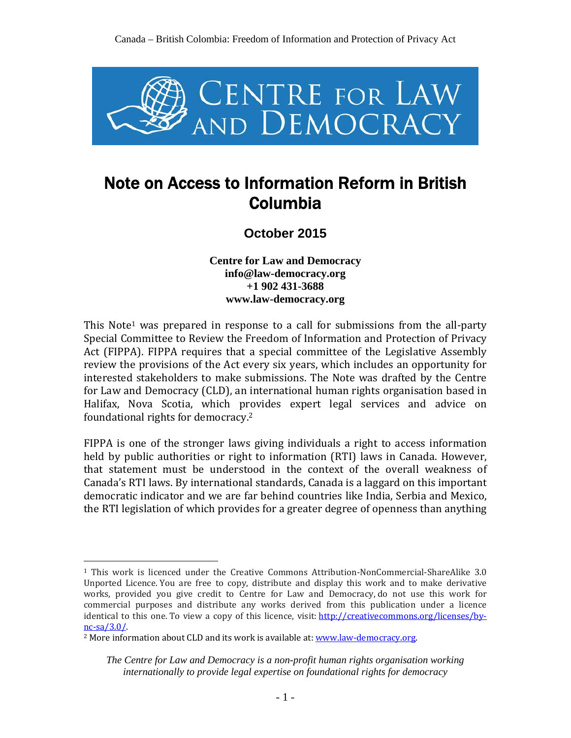

# Note on Access to Information Reform in British Columbia

**October 2015**

**Centre for Law and Democracy info@law-democracy.org +1 902 431-3688 www.law-democracy.org** 

This Note<sup>1</sup> was prepared in response to a call for submissions from the all-party Special Committee to Review the Freedom of Information and Protection of Privacy Act (FIPPA). FIPPA requires that a special committee of the Legislative Assembly review the provisions of the Act every six years, which includes an opportunity for interested stakeholders to make submissions. The Note was drafted by the Centre for Law and Democracy (CLD), an international human rights organisation based in Halifax, Nova Scotia, which provides expert legal services and advice on foundational rights for democracy.2

FIPPA is one of the stronger laws giving individuals a right to access information held by public authorities or right to information (RTI) laws in Canada. However, that statement must be understood in the context of the overall weakness of Canada's RTI laws. By international standards, Canada is a laggard on this important democratic indicator and we are far behind countries like India, Serbia and Mexico, the RTI legislation of which provides for a greater degree of openness than anything

 $\overline{a}$ 

<sup>1</sup> This work is licenced under the Creative Commons Attribution-NonCommercial-ShareAlike 3.0 Unported Licence. You are free to copy, distribute and display this work and to make derivative works, provided you give credit to Centre for Law and Democracy, do not use this work for commercial purposes and distribute any works derived from this publication under a licence identical to this one. To view a copy of this licence, visit: http://creativecommons.org/licenses/bync-sa/3.0/.

<sup>&</sup>lt;sup>2</sup> More information about CLD and its work is available at: www.law-democracy.org.

*The Centre for Law and Democracy is a non-profit human rights organisation working internationally to provide legal expertise on foundational rights for democracy*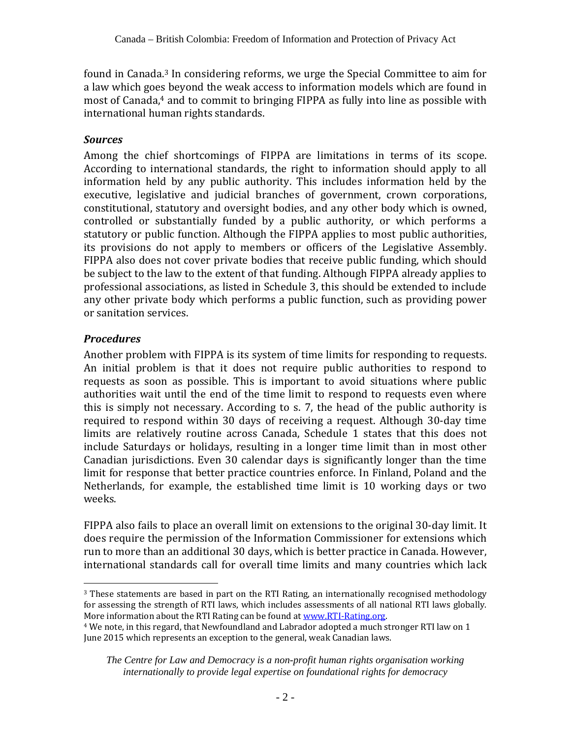found in Canada.3 In considering reforms, we urge the Special Committee to aim for a law which goes beyond the weak access to information models which are found in most of Canada,<sup>4</sup> and to commit to bringing FIPPA as fully into line as possible with international human rights standards.

#### *Sources*

Among the chief shortcomings of FIPPA are limitations in terms of its scope. According to international standards, the right to information should apply to all information held by any public authority. This includes information held by the executive, legislative and judicial branches of government, crown corporations, constitutional, statutory and oversight bodies, and any other body which is owned, controlled or substantially funded by a public authority, or which performs a statutory or public function. Although the FIPPA applies to most public authorities, its provisions do not apply to members or officers of the Legislative Assembly. FIPPA also does not cover private bodies that receive public funding, which should be subject to the law to the extent of that funding. Although FIPPA already applies to professional associations, as listed in Schedule 3, this should be extended to include any other private body which performs a public function, such as providing power or sanitation services.

### *Procedures*

Another problem with FIPPA is its system of time limits for responding to requests. An initial problem is that it does not require public authorities to respond to requests as soon as possible. This is important to avoid situations where public authorities wait until the end of the time limit to respond to requests even where this is simply not necessary. According to s. 7, the head of the public authority is required to respond within 30 days of receiving a request. Although 30-day time limits are relatively routine across Canada, Schedule 1 states that this does not include Saturdays or holidays, resulting in a longer time limit than in most other Canadian jurisdictions. Even 30 calendar days is significantly longer than the time limit for response that better practice countries enforce. In Finland, Poland and the Netherlands, for example, the established time limit is 10 working days or two weeks.

FIPPA also fails to place an overall limit on extensions to the original 30-day limit. It does require the permission of the Information Commissioner for extensions which run to more than an additional 30 days, which is better practice in Canada. However, international standards call for overall time limits and many countries which lack

 $\overline{a}$ <sup>3</sup> These statements are based in part on the RTI Rating, an internationally recognised methodology for assessing the strength of RTI laws, which includes assessments of all national RTI laws globally. More information about the RTI Rating can be found at <u>www.RTI-Rating.org</u>.<br><sup>4</sup> We note, in this regard, that Newfoundland and Labrador adopted a much stronger RTI law on 1

June 2015 which represents an exception to the general, weak Canadian laws.

*The Centre for Law and Democracy is a non-profit human rights organisation working internationally to provide legal expertise on foundational rights for democracy*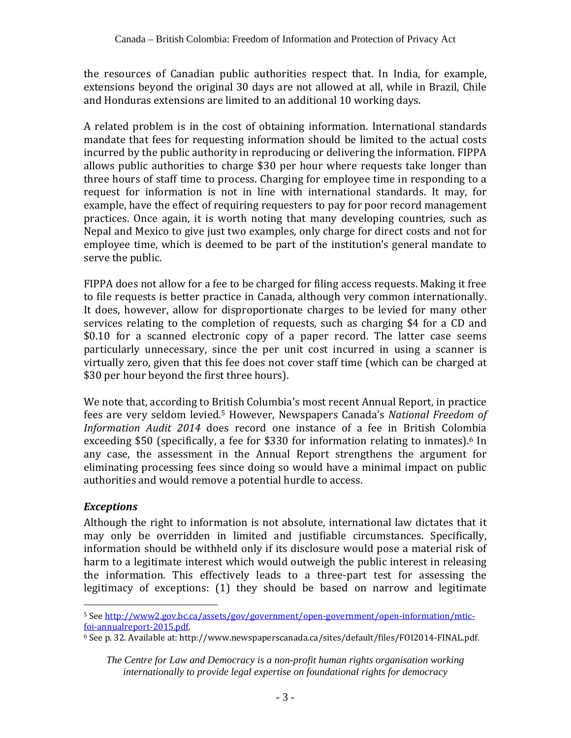the resources of Canadian public authorities respect that. In India, for example, extensions beyond the original 30 days are not allowed at all, while in Brazil, Chile and Honduras extensions are limited to an additional 10 working days.

A related problem is in the cost of obtaining information. International standards mandate that fees for requesting information should be limited to the actual costs incurred by the public authority in reproducing or delivering the information. FIPPA allows public authorities to charge \$30 per hour where requests take longer than three hours of staff time to process. Charging for employee time in responding to a request for information is not in line with international standards. It may, for example, have the effect of requiring requesters to pay for poor record management practices. Once again, it is worth noting that many developing countries, such as Nepal and Mexico to give just two examples, only charge for direct costs and not for employee time, which is deemed to be part of the institution's general mandate to serve the public.

FIPPA does not allow for a fee to be charged for filing access requests. Making it free to file requests is better practice in Canada, although very common internationally. It does, however, allow for disproportionate charges to be levied for many other services relating to the completion of requests, such as charging \$4 for a CD and \$0.10 for a scanned electronic copy of a paper record. The latter case seems particularly unnecessary, since the per unit cost incurred in using a scanner is virtually zero, given that this fee does not cover staff time (which can be charged at \$30 per hour beyond the first three hours).

We note that, according to British Columbia's most recent Annual Report, in practice fees are very seldom levied.5 However, Newspapers Canada's *National Freedom of Information Audit 2014* does record one instance of a fee in British Colombia exceeding \$50 (specifically, a fee for \$330 for information relating to inmates).<sup>6</sup> In any case, the assessment in the Annual Report strengthens the argument for eliminating processing fees since doing so would have a minimal impact on public authorities and would remove a potential hurdle to access.

## *Exceptions*

Although the right to information is not absolute, international law dictates that it may only be overridden in limited and justifiable circumstances. Specifically, information should be withheld only if its disclosure would pose a material risk of harm to a legitimate interest which would outweigh the public interest in releasing the information. This effectively leads to a three-part test for assessing the legitimacy of exceptions: (1) they should be based on narrow and legitimate

 $\overline{a}$ <sup>5</sup> See <u>http://www2.gov.bc.ca/assets/gov/government/open-government/open-information/mtic-<br>foi-annualreport-2015.pdf.</u>

 $6$  See p. 32. Available at: http://www.newspaperscanada.ca/sites/default/files/FOI2014-FINAL.pdf.

*The Centre for Law and Democracy is a non-profit human rights organisation working internationally to provide legal expertise on foundational rights for democracy*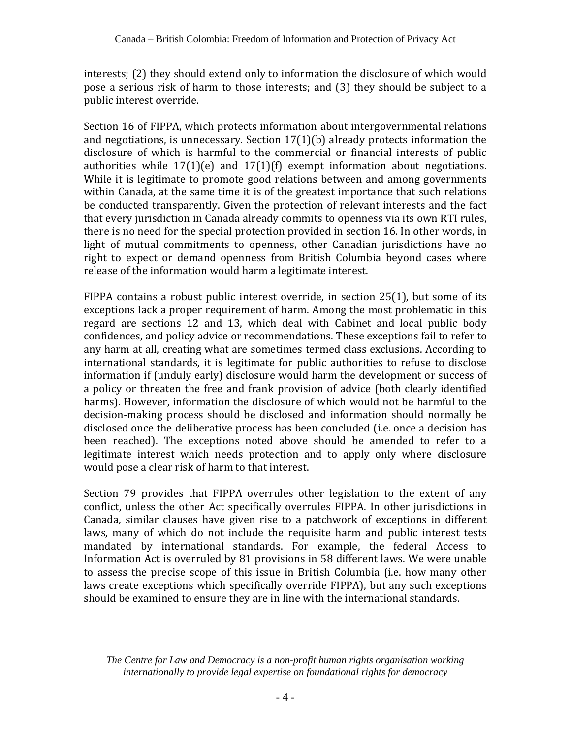interests; (2) they should extend only to information the disclosure of which would pose a serious risk of harm to those interests; and (3) they should be subject to a public interest override.

Section 16 of FIPPA, which protects information about intergovernmental relations and negotiations, is unnecessary. Section 17(1)(b) already protects information the disclosure of which is harmful to the commercial or financial interests of public authorities while 17(1)(e) and 17(1)(f) exempt information about negotiations. While it is legitimate to promote good relations between and among governments within Canada, at the same time it is of the greatest importance that such relations be conducted transparently. Given the protection of relevant interests and the fact that every jurisdiction in Canada already commits to openness via its own RTI rules, there is no need for the special protection provided in section 16. In other words, in light of mutual commitments to openness, other Canadian jurisdictions have no right to expect or demand openness from British Columbia beyond cases where release of the information would harm a legitimate interest.

FIPPA contains a robust public interest override, in section 25(1), but some of its exceptions lack a proper requirement of harm. Among the most problematic in this regard are sections 12 and 13, which deal with Cabinet and local public body confidences, and policy advice or recommendations. These exceptions fail to refer to any harm at all, creating what are sometimes termed class exclusions. According to international standards, it is legitimate for public authorities to refuse to disclose information if (unduly early) disclosure would harm the development or success of a policy or threaten the free and frank provision of advice (both clearly identified harms). However, information the disclosure of which would not be harmful to the decision-making process should be disclosed and information should normally be disclosed once the deliberative process has been concluded (i.e. once a decision has been reached). The exceptions noted above should be amended to refer to a legitimate interest which needs protection and to apply only where disclosure would pose a clear risk of harm to that interest.

Section 79 provides that FIPPA overrules other legislation to the extent of any conflict, unless the other Act specifically overrules FIPPA. In other jurisdictions in Canada, similar clauses have given rise to a patchwork of exceptions in different laws, many of which do not include the requisite harm and public interest tests mandated by international standards. For example, the federal Access to Information Act is overruled by 81 provisions in 58 different laws. We were unable to assess the precise scope of this issue in British Columbia (i.e. how many other laws create exceptions which specifically override FIPPA), but any such exceptions should be examined to ensure they are in line with the international standards.

*The Centre for Law and Democracy is a non-profit human rights organisation working internationally to provide legal expertise on foundational rights for democracy*